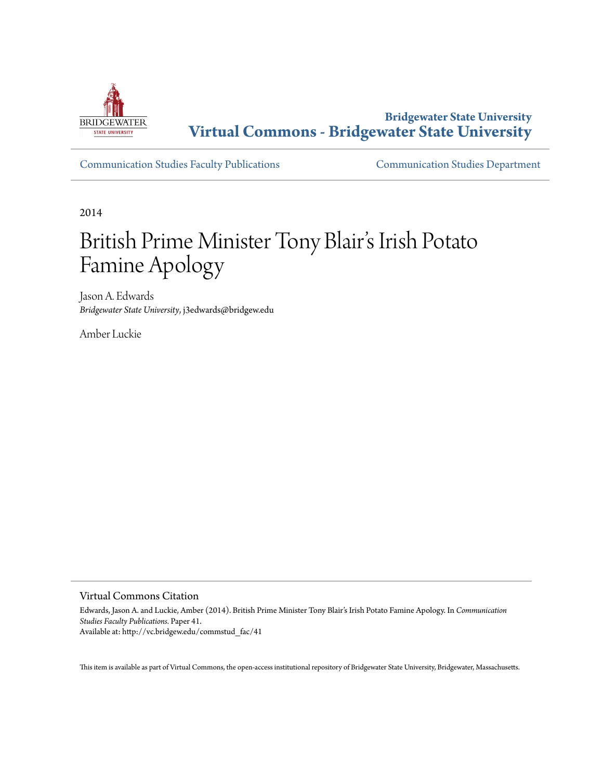

**Bridgewater State University [Virtual Commons - Bridgewater State University](http://vc.bridgew.edu)**

[Communication Studies Faculty Publications](http://vc.bridgew.edu/commstud_fac) [Communication Studies Department](http://vc.bridgew.edu/commstud)

2014

# British Prime Minister Tony Blair's Irish Potato Famine Apology

Jason A. Edwards *Bridgewater State University*, j3edwards@bridgew.edu

Amber Luckie

Virtual Commons Citation

Edwards, Jason A. and Luckie, Amber (2014). British Prime Minister Tony Blair's Irish Potato Famine Apology. In *Communication Studies Faculty Publications.* Paper 41. Available at: http://vc.bridgew.edu/commstud\_fac/41

This item is available as part of Virtual Commons, the open-access institutional repository of Bridgewater State University, Bridgewater, Massachusetts.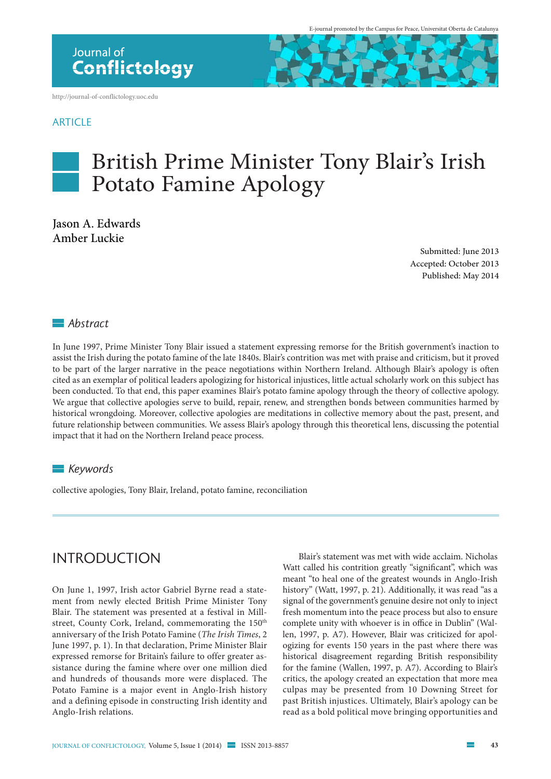<http://journal-of-conflictology.uoc.edu>

#### **ARTICLE**



Jason A. Edwards Amber Luckie

> Submitted: June 2013 Accepted: October 2013 Published: May 2014

### *Abstract*

In June 1997, Prime Minister Tony Blair issued a statement expressing remorse for the British government's inaction to assist the Irish during the potato famine of the late 1840s. Blair's contrition was met with praise and criticism, but it proved to be part of the larger narrative in the peace negotiations within Northern Ireland. Although Blair's apology is often cited as an exemplar of political leaders apologizing for historical injustices, little actual scholarly work on this subject has been conducted. To that end, this paper examines Blair's potato famine apology through the theory of collective apology. We argue that collective apologies serve to build, repair, renew, and strengthen bonds between communities harmed by historical wrongdoing. Moreover, collective apologies are meditations in collective memory about the past, present, and future relationship between communities. We assess Blair's apology through this theoretical lens, discussing the potential impact that it had on the Northern Ireland peace process.

#### *Keywords*

collective apologies, Tony Blair, Ireland, potato famine, reconciliation

### **INTRODUCTION**

On June 1, 1997, Irish actor Gabriel Byrne read a statement from newly elected British Prime Minister Tony Blair. The statement was presented at a festival in Millstreet, County Cork, Ireland, commemorating the 150<sup>th</sup> anniversary of the Irish Potato Famine (*The Irish Times*, 2 June 1997, p. 1). In that declaration, Prime Minister Blair expressed remorse for Britain's failure to offer greater assistance during the famine where over one million died and hundreds of thousands more were displaced. The Potato Famine is a major event in Anglo-Irish history and a defining episode in constructing Irish identity and Anglo-Irish relations.

Blair's statement was met with wide acclaim. Nicholas Watt called his contrition greatly "significant", which was meant "to heal one of the greatest wounds in Anglo-Irish history" (Watt, 1997, p. 21). Additionally, it was read "as a signal of the government's genuine desire not only to inject fresh momentum into the peace process but also to ensure complete unity with whoever is in office in Dublin" (Wallen, 1997, p. A7). However, Blair was criticized for apologizing for events 150 years in the past where there was historical disagreement regarding British responsibility for the famine (Wallen, 1997, p. A7). According to Blair's critics, the apology created an expectation that more mea culpas may be presented from 10 Downing Street for past British injustices. Ultimately, Blair's apology can be read as a bold political move bringing opportunities and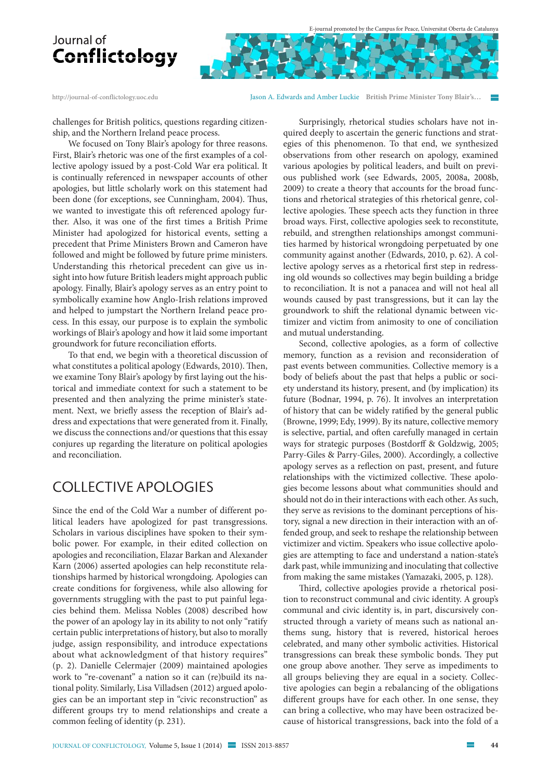<http://journal-of-conflictology.uoc.edu> Jason A. Edwards and Amber Luckie **British Prime Minister Tony Blair's…** 

challenges for British politics, questions regarding citizenship, and the Northern Ireland peace process.

We focused on Tony Blair's apology for three reasons. First, Blair's rhetoric was one of the first examples of a collective apology issued by a post-Cold War era political. It is continually referenced in newspaper accounts of other apologies, but little scholarly work on this statement had been done (for exceptions, see Cunningham, 2004). Thus, we wanted to investigate this oft referenced apology further. Also, it was one of the first times a British Prime Minister had apologized for historical events, setting a precedent that Prime Ministers Brown and Cameron have followed and might be followed by future prime ministers. Understanding this rhetorical precedent can give us insight into how future British leaders might approach public apology. Finally, Blair's apology serves as an entry point to symbolically examine how Anglo-Irish relations improved and helped to jumpstart the Northern Ireland peace process. In this essay, our purpose is to explain the symbolic workings of Blair's apology and how it laid some important groundwork for future reconciliation efforts.

To that end, we begin with a theoretical discussion of what constitutes a political apology (Edwards, 2010). Then, we examine Tony Blair's apology by first laying out the historical and immediate context for such a statement to be presented and then analyzing the prime minister's statement. Next, we briefly assess the reception of Blair's address and expectations that were generated from it. Finally, we discuss the connections and/or questions that this essay conjures up regarding the literature on political apologies and reconciliation.

### Collective Apologies

Since the end of the Cold War a number of different political leaders have apologized for past transgressions. Scholars in various disciplines have spoken to their symbolic power. For example, in their edited collection on apologies and reconciliation, Elazar Barkan and Alexander Karn (2006) asserted apologies can help reconstitute relationships harmed by historical wrongdoing. Apologies can create conditions for forgiveness, while also allowing for governments struggling with the past to put painful legacies behind them. Melissa Nobles (2008) described how the power of an apology lay in its ability to not only "ratify certain public interpretations of history, but also to morally judge, assign responsibility, and introduce expectations about what acknowledgment of that history requires" (p. 2). Danielle Celermajer (2009) maintained apologies work to "re-covenant" a nation so it can (re)build its national polity. Similarly, Lisa Villadsen (2012) argued apologies can be an important step in "civic reconstruction" as different groups try to mend relationships and create a common feeling of identity (p. 231).

Surprisingly, rhetorical studies scholars have not inquired deeply to ascertain the generic functions and strategies of this phenomenon. To that end, we synthesized observations from other research on apology, examined various apologies by political leaders, and built on previous published work (see Edwards, 2005, 2008a, 2008b, 2009) to create a theory that accounts for the broad functions and rhetorical strategies of this rhetorical genre, collective apologies. These speech acts they function in three broad ways. First, collective apologies seek to reconstitute, rebuild, and strengthen relationships amongst communities harmed by historical wrongdoing perpetuated by one community against another (Edwards, 2010, p. 62). A collective apology serves as a rhetorical first step in redressing old wounds so collectives may begin building a bridge to reconciliation. It is not a panacea and will not heal all wounds caused by past transgressions, but it can lay the groundwork to shift the relational dynamic between victimizer and victim from animosity to one of conciliation and mutual understanding.

Second, collective apologies, as a form of collective memory, function as a revision and reconsideration of past events between communities. Collective memory is a body of beliefs about the past that helps a public or society understand its history, present, and (by implication) its future (Bodnar, 1994, p. 76). It involves an interpretation of history that can be widely ratified by the general public (Browne, 1999; Edy, 1999). By its nature, collective memory is selective, partial, and often carefully managed in certain ways for strategic purposes (Bostdorff & Goldzwig, 2005; Parry-Giles & Parry-Giles, 2000). Accordingly, a collective apology serves as a reflection on past, present, and future relationships with the victimized collective. These apologies become lessons about what communities should and should not do in their interactions with each other. As such, they serve as revisions to the dominant perceptions of history, signal a new direction in their interaction with an offended group, and seek to reshape the relationship between victimizer and victim. Speakers who issue collective apologies are attempting to face and understand a nation-state's dark past, while immunizing and inoculating that collective from making the same mistakes (Yamazaki, 2005, p. 128).

Third, collective apologies provide a rhetorical position to reconstruct communal and civic identity. A group's communal and civic identity is, in part, discursively constructed through a variety of means such as national anthems sung, history that is revered, historical heroes celebrated, and many other symbolic activities. Historical transgressions can break these symbolic bonds. They put one group above another. They serve as impediments to all groups believing they are equal in a society. Collective apologies can begin a rebalancing of the obligations different groups have for each other. In one sense, they can bring a collective, who may have been ostracized because of historical transgressions, back into the fold of a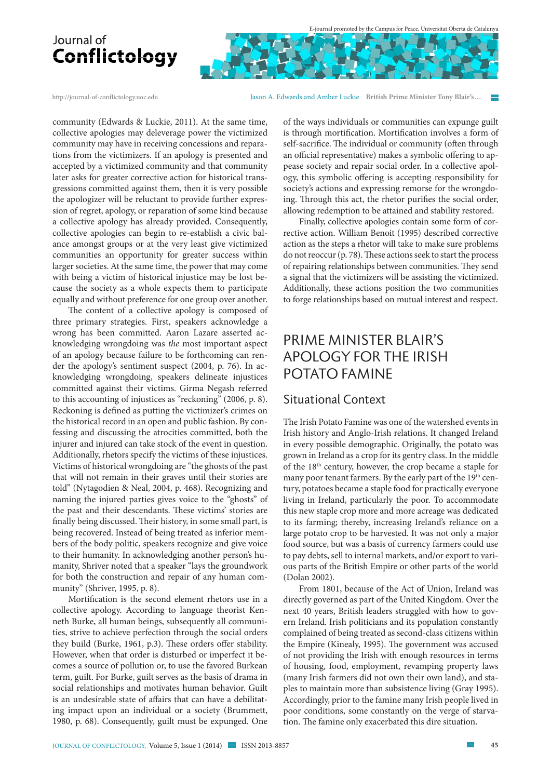

<http://journal-of-conflictology.uoc.edu> Jason A. Edwards and Amber Luckie **British Prime Minister Tony Blair's…** 

community (Edwards & Luckie, 2011). At the same time, collective apologies may deleverage power the victimized community may have in receiving concessions and reparations from the victimizers. If an apology is presented and accepted by a victimized community and that community later asks for greater corrective action for historical transgressions committed against them, then it is very possible the apologizer will be reluctant to provide further expression of regret, apology, or reparation of some kind because a collective apology has already provided. Consequently, collective apologies can begin to re-establish a civic balance amongst groups or at the very least give victimized communities an opportunity for greater success within larger societies. At the same time, the power that may come with being a victim of historical injustice may be lost because the society as a whole expects them to participate equally and without preference for one group over another.

The content of a collective apology is composed of three primary strategies. First, speakers acknowledge a wrong has been committed. Aaron Lazare asserted acknowledging wrongdoing was *the* most important aspect of an apology because failure to be forthcoming can render the apology's sentiment suspect (2004, p. 76). In acknowledging wrongdoing, speakers delineate injustices committed against their victims. Girma Negash referred to this accounting of injustices as "reckoning" (2006, p. 8). Reckoning is defined as putting the victimizer's crimes on the historical record in an open and public fashion. By confessing and discussing the atrocities committed, both the injurer and injured can take stock of the event in question. Additionally, rhetors specify the victims of these injustices. Victims of historical wrongdoing are "the ghosts of the past that will not remain in their graves until their stories are told" (Nytagodien & Neal, 2004, p. 468). Recognizing and naming the injured parties gives voice to the "ghosts" of the past and their descendants. These victims' stories are finally being discussed. Their history, in some small part, is being recovered. Instead of being treated as inferior members of the body politic, speakers recognize and give voice to their humanity. In acknowledging another person's humanity, Shriver noted that a speaker "lays the groundwork for both the construction and repair of any human community" (Shriver, 1995, p. 8).

Mortification is the second element rhetors use in a collective apology. According to language theorist Kenneth Burke, all human beings, subsequently all communities, strive to achieve perfection through the social orders they build (Burke, 1961, p.3). These orders offer stability. However, when that order is disturbed or imperfect it becomes a source of pollution or, to use the favored Burkean term, guilt. For Burke, guilt serves as the basis of drama in social relationships and motivates human behavior. Guilt is an undesirable state of affairs that can have a debilitating impact upon an individual or a society (Brummett, 1980, p. 68). Consequently, guilt must be expunged. One

of the ways individuals or communities can expunge guilt is through mortification. Mortification involves a form of self-sacrifice. The individual or community (often through an official representative) makes a symbolic offering to appease society and repair social order. In a collective apology, this symbolic offering is accepting responsibility for society's actions and expressing remorse for the wrongdoing. Through this act, the rhetor purifies the social order, allowing redemption to be attained and stability restored.

Finally, collective apologies contain some form of corrective action. William Benoit (1995) described corrective action as the steps a rhetor will take to make sure problems do not reoccur (p. 78). These actions seek to start the process of repairing relationships between communities. They send a signal that the victimizers will be assisting the victimized. Additionally, these actions position the two communities to forge relationships based on mutual interest and respect.

### Prime Minister Blair's Apology for the Irish POTATO FAMINE

### Situational Context

The Irish Potato Famine was one of the watershed events in Irish history and Anglo-Irish relations. It changed Ireland in every possible demographic. Originally, the potato was grown in Ireland as a crop for its gentry class. In the middle of the 18th century, however, the crop became a staple for many poor tenant farmers. By the early part of the 19<sup>th</sup> century, potatoes became a staple food for practically everyone living in Ireland, particularly the poor. To accommodate this new staple crop more and more acreage was dedicated to its farming; thereby, increasing Ireland's reliance on a large potato crop to be harvested. It was not only a major food source, but was a basis of currency farmers could use to pay debts, sell to internal markets, and/or export to various parts of the British Empire or other parts of the world (Dolan 2002).

From 1801, because of the Act of Union, Ireland was directly governed as part of the United Kingdom. Over the next 40 years, British leaders struggled with how to govern Ireland. Irish politicians and its population constantly complained of being treated as second-class citizens within the Empire (Kinealy, 1995). The government was accused of not providing the Irish with enough resources in terms of housing, food, employment, revamping property laws (many Irish farmers did not own their own land), and staples to maintain more than subsistence living (Gray 1995). Accordingly, prior to the famine many Irish people lived in poor conditions, some constantly on the verge of starvation. The famine only exacerbated this dire situation.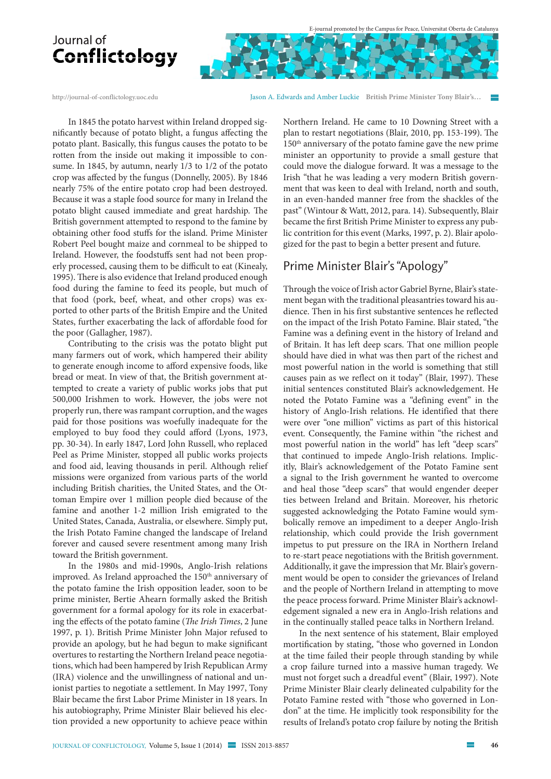<http://journal-of-conflictology.uoc.edu> Jason A. Edwards and Amber Luckie **British Prime Minister Tony Blair's…** 

In 1845 the potato harvest within Ireland dropped significantly because of potato blight, a fungus affecting the potato plant. Basically, this fungus causes the potato to be rotten from the inside out making it impossible to consume. In 1845, by autumn, nearly 1/3 to 1/2 of the potato crop was affected by the fungus (Donnelly, 2005). By 1846 nearly 75% of the entire potato crop had been destroyed. Because it was a staple food source for many in Ireland the potato blight caused immediate and great hardship. The British government attempted to respond to the famine by obtaining other food stuffs for the island. Prime Minister Robert Peel bought maize and cornmeal to be shipped to Ireland. However, the foodstuffs sent had not been properly processed, causing them to be difficult to eat (Kinealy, 1995). There is also evidence that Ireland produced enough food during the famine to feed its people, but much of that food (pork, beef, wheat, and other crops) was exported to other parts of the British Empire and the United States, further exacerbating the lack of affordable food for the poor (Gallagher, 1987).

Contributing to the crisis was the potato blight put many farmers out of work, which hampered their ability to generate enough income to afford expensive foods, like bread or meat. In view of that, the British government attempted to create a variety of public works jobs that put 500,000 Irishmen to work. However, the jobs were not properly run, there was rampant corruption, and the wages paid for those positions was woefully inadequate for the employed to buy food they could afford (Lyons, 1973, pp. 30-34). In early 1847, Lord John Russell, who replaced Peel as Prime Minister, stopped all public works projects and food aid, leaving thousands in peril. Although relief missions were organized from various parts of the world including British charities, the United States, and the Ottoman Empire over 1 million people died because of the famine and another 1-2 million Irish emigrated to the United States, Canada, Australia, or elsewhere. Simply put, the Irish Potato Famine changed the landscape of Ireland forever and caused severe resentment among many Irish toward the British government.

In the 1980s and mid-1990s, Anglo-Irish relations improved. As Ireland approached the 150<sup>th</sup> anniversary of the potato famine the Irish opposition leader, soon to be prime minister, Bertie Ahearn formally asked the British government for a formal apology for its role in exacerbating the effects of the potato famine (*The Irish Times*, 2 June 1997, p. 1). British Prime Minister John Major refused to provide an apology, but he had begun to make significant overtures to restarting the Northern Ireland peace negotiations, which had been hampered by Irish Republican Army (IRA) violence and the unwillingness of national and unionist parties to negotiate a settlement. In May 1997, Tony Blair became the first Labor Prime Minister in 18 years. In his autobiography, Prime Minister Blair believed his election provided a new opportunity to achieve peace within

Northern Ireland. He came to 10 Downing Street with a plan to restart negotiations (Blair, 2010, pp. 153-199). The 150th anniversary of the potato famine gave the new prime minister an opportunity to provide a small gesture that could move the dialogue forward. It was a message to the Irish "that he was leading a very modern British government that was keen to deal with Ireland, north and south, in an even-handed manner free from the shackles of the past" (Wintour & Watt, 2012, para. 14). Subsequently, Blair became the first British Prime Minister to express any public contrition for this event (Marks, 1997, p. 2). Blair apologized for the past to begin a better present and future.

### Prime Minister Blair's "Apology"

Through the voice of Irish actor Gabriel Byrne, Blair's statement began with the traditional pleasantries toward his audience. Then in his first substantive sentences he reflected on the impact of the Irish Potato Famine. Blair stated, "the Famine was a defining event in the history of Ireland and of Britain. It has left deep scars. That one million people should have died in what was then part of the richest and most powerful nation in the world is something that still causes pain as we reflect on it today" (Blair, 1997). These initial sentences constituted Blair's acknowledgement. He noted the Potato Famine was a "defining event" in the history of Anglo-Irish relations. He identified that there were over "one million" victims as part of this historical event. Consequently, the Famine within "the richest and most powerful nation in the world" has left "deep scars" that continued to impede Anglo-Irish relations. Implicitly, Blair's acknowledgement of the Potato Famine sent a signal to the Irish government he wanted to overcome and heal those "deep scars" that would engender deeper ties between Ireland and Britain. Moreover, his rhetoric suggested acknowledging the Potato Famine would symbolically remove an impediment to a deeper Anglo-Irish relationship, which could provide the Irish government impetus to put pressure on the IRA in Northern Ireland to re-start peace negotiations with the British government. Additionally, it gave the impression that Mr. Blair's government would be open to consider the grievances of Ireland and the people of Northern Ireland in attempting to move the peace process forward. Prime Minister Blair's acknowledgement signaled a new era in Anglo-Irish relations and in the continually stalled peace talks in Northern Ireland.

In the next sentence of his statement, Blair employed mortification by stating, "those who governed in London at the time failed their people through standing by while a crop failure turned into a massive human tragedy. We must not forget such a dreadful event" (Blair, 1997). Note Prime Minister Blair clearly delineated culpability for the Potato Famine rested with "those who governed in London" at the time. He implicitly took responsibility for the results of Ireland's potato crop failure by noting the British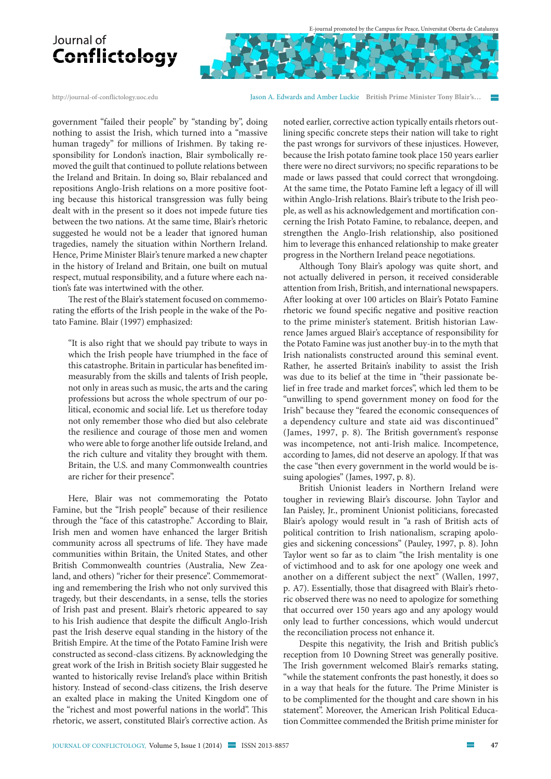

<http://journal-of-conflictology.uoc.edu> Jason A. Edwards and Amber Luckie **British Prime Minister Tony Blair's…** 

government "failed their people" by "standing by", doing nothing to assist the Irish, which turned into a "massive human tragedy" for millions of Irishmen. By taking responsibility for London's inaction, Blair symbolically removed the guilt that continued to pollute relations between the Ireland and Britain. In doing so, Blair rebalanced and repositions Anglo-Irish relations on a more positive footing because this historical transgression was fully being dealt with in the present so it does not impede future ties between the two nations. At the same time, Blair's rhetoric suggested he would not be a leader that ignored human tragedies, namely the situation within Northern Ireland. Hence, Prime Minister Blair's tenure marked a new chapter in the history of Ireland and Britain, one built on mutual respect, mutual responsibility, and a future where each nation's fate was intertwined with the other.

The rest of the Blair's statement focused on commemorating the efforts of the Irish people in the wake of the Potato Famine. Blair (1997) emphasized:

"It is also right that we should pay tribute to ways in which the Irish people have triumphed in the face of this catastrophe. Britain in particular has benefited immeasurably from the skills and talents of Irish people, not only in areas such as music, the arts and the caring professions but across the whole spectrum of our political, economic and social life. Let us therefore today not only remember those who died but also celebrate the resilience and courage of those men and women who were able to forge another life outside Ireland, and the rich culture and vitality they brought with them. Britain, the U.S. and many Commonwealth countries are richer for their presence".

Here, Blair was not commemorating the Potato Famine, but the "Irish people" because of their resilience through the "face of this catastrophe." According to Blair, Irish men and women have enhanced the larger British community across all spectrums of life. They have made communities within Britain, the United States, and other British Commonwealth countries (Australia, New Zealand, and others) "richer for their presence". Commemorating and remembering the Irish who not only survived this tragedy, but their descendants, in a sense, tells the stories of Irish past and present. Blair's rhetoric appeared to say to his Irish audience that despite the difficult Anglo-Irish past the Irish deserve equal standing in the history of the British Empire. At the time of the Potato Famine Irish were constructed as second-class citizens. By acknowledging the great work of the Irish in British society Blair suggested he wanted to historically revise Ireland's place within British history. Instead of second-class citizens, the Irish deserve an exalted place in making the United Kingdom one of the "richest and most powerful nations in the world". This rhetoric, we assert, constituted Blair's corrective action. As

noted earlier, corrective action typically entails rhetors outlining specific concrete steps their nation will take to right the past wrongs for survivors of these injustices. However, because the Irish potato famine took place 150 years earlier there were no direct survivors; no specific reparations to be made or laws passed that could correct that wrongdoing. At the same time, the Potato Famine left a legacy of ill will within Anglo-Irish relations. Blair's tribute to the Irish people, as well as his acknowledgement and mortification concerning the Irish Potato Famine, to rebalance, deepen, and strengthen the Anglo-Irish relationship, also positioned him to leverage this enhanced relationship to make greater progress in the Northern Ireland peace negotiations.

Although Tony Blair's apology was quite short, and not actually delivered in person, it received considerable attention from Irish, British, and international newspapers. After looking at over 100 articles on Blair's Potato Famine rhetoric we found specific negative and positive reaction to the prime minister's statement. British historian Lawrence James argued Blair's acceptance of responsibility for the Potato Famine was just another buy-in to the myth that Irish nationalists constructed around this seminal event. Rather, he asserted Britain's inability to assist the Irish was due to its belief at the time in "their passionate belief in free trade and market forces", which led them to be "unwilling to spend government money on food for the Irish" because they "feared the economic consequences of a dependency culture and state aid was discontinued" (James, 1997, p. 8). The British government's response was incompetence, not anti-Irish malice. Incompetence, according to James, did not deserve an apology. If that was the case "then every government in the world would be issuing apologies" (James, 1997, p. 8).

British Unionist leaders in Northern Ireland were tougher in reviewing Blair's discourse. John Taylor and Ian Paisley, Jr., prominent Unionist politicians, forecasted Blair's apology would result in "a rash of British acts of political contrition to Irish nationalism, scraping apologies and sickening concessions" (Pauley, 1997, p. 8). John Taylor went so far as to claim "the Irish mentality is one of victimhood and to ask for one apology one week and another on a different subject the next" (Wallen, 1997, p. A7). Essentially, those that disagreed with Blair's rhetoric observed there was no need to apologize for something that occurred over 150 years ago and any apology would only lead to further concessions, which would undercut the reconciliation process not enhance it.

Despite this negativity, the Irish and British public's reception from 10 Downing Street was generally positive. The Irish government welcomed Blair's remarks stating, "while the statement confronts the past honestly, it does so in a way that heals for the future. The Prime Minister is to be complimented for the thought and care shown in his statement". Moreover, the American Irish Political Education Committee commended the British prime minister for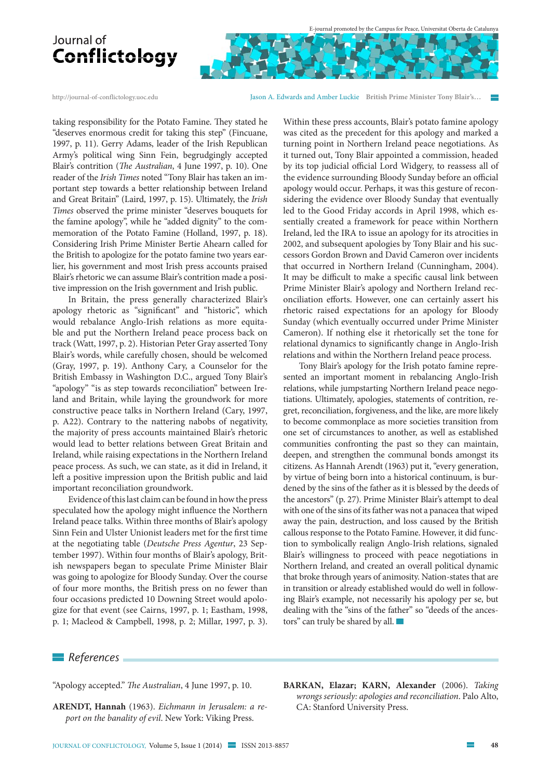

<http://journal-of-conflictology.uoc.edu> Jason A. Edwards and Amber Luckie **British Prime Minister Tony Blair's…** 

taking responsibility for the Potato Famine. They stated he "deserves enormous credit for taking this step" (Fincuane, 1997, p. 11). Gerry Adams, leader of the Irish Republican Army's political wing Sinn Fein, begrudgingly accepted Blair's contrition (*The Australian*, 4 June 1997, p. 10). One reader of the *Irish Times* noted "Tony Blair has taken an important step towards a better relationship between Ireland and Great Britain" (Laird, 1997, p. 15). Ultimately, the *Irish Times* observed the prime minister "deserves bouquets for the famine apology", while he "added dignity" to the commemoration of the Potato Famine (Holland, 1997, p. 18). Considering Irish Prime Minister Bertie Ahearn called for the British to apologize for the potato famine two years earlier, his government and most Irish press accounts praised Blair's rhetoric we can assume Blair's contrition made a positive impression on the Irish government and Irish public.

In Britain, the press generally characterized Blair's apology rhetoric as "significant" and "historic", which would rebalance Anglo-Irish relations as more equitable and put the Northern Ireland peace process back on track (Watt, 1997, p. 2). Historian Peter Gray asserted Tony Blair's words, while carefully chosen, should be welcomed (Gray, 1997, p. 19). Anthony Cary, a Counselor for the British Embassy in Washington D.C., argued Tony Blair's "apology" "is as step towards reconciliation" between Ireland and Britain, while laying the groundwork for more constructive peace talks in Northern Ireland (Cary, 1997, p. A22). Contrary to the nattering nabobs of negativity, the majority of press accounts maintained Blair's rhetoric would lead to better relations between Great Britain and Ireland, while raising expectations in the Northern Ireland peace process. As such, we can state, as it did in Ireland, it left a positive impression upon the British public and laid important reconciliation groundwork.

Evidence of this last claim can be found in how the press speculated how the apology might influence the Northern Ireland peace talks. Within three months of Blair's apology Sinn Fein and Ulster Unionist leaders met for the first time at the negotiating table (*Deutsche Press Agentur*, 23 September 1997). Within four months of Blair's apology, British newspapers began to speculate Prime Minister Blair was going to apologize for Bloody Sunday. Over the course of four more months, the British press on no fewer than four occasions predicted 10 Downing Street would apologize for that event (see Cairns, 1997, p. 1; Eastham, 1998, p. 1; Macleod & Campbell, 1998, p. 2; Millar, 1997, p. 3).

Within these press accounts, Blair's potato famine apology was cited as the precedent for this apology and marked a turning point in Northern Ireland peace negotiations. As it turned out, Tony Blair appointed a commission, headed by its top judicial official Lord Widgery, to reassess all of the evidence surrounding Bloody Sunday before an official apology would occur. Perhaps, it was this gesture of reconsidering the evidence over Bloody Sunday that eventually led to the Good Friday accords in April 1998, which essentially created a framework for peace within Northern Ireland, led the IRA to issue an apology for its atrocities in 2002, and subsequent apologies by Tony Blair and his successors Gordon Brown and David Cameron over incidents that occurred in Northern Ireland (Cunningham, 2004). It may be difficult to make a specific causal link between Prime Minister Blair's apology and Northern Ireland reconciliation efforts. However, one can certainly assert his rhetoric raised expectations for an apology for Bloody Sunday (which eventually occurred under Prime Minister Cameron). If nothing else it rhetorically set the tone for relational dynamics to significantly change in Anglo-Irish relations and within the Northern Ireland peace process.

Tony Blair's apology for the Irish potato famine represented an important moment in rebalancing Anglo-Irish relations, while jumpstarting Northern Ireland peace negotiations. Ultimately, apologies, statements of contrition, regret, reconciliation, forgiveness, and the like, are more likely to become commonplace as more societies transition from one set of circumstances to another, as well as established communities confronting the past so they can maintain, deepen, and strengthen the communal bonds amongst its citizens. As Hannah Arendt (1963) put it, "every generation, by virtue of being born into a historical continuum, is burdened by the sins of the father as it is blessed by the deeds of the ancestors" (p. 27). Prime Minister Blair's attempt to deal with one of the sins of its father was not a panacea that wiped away the pain, destruction, and loss caused by the British callous response to the Potato Famine. However, it did function to symbolically realign Anglo-Irish relations, signaled Blair's willingness to proceed with peace negotiations in Northern Ireland, and created an overall political dynamic that broke through years of animosity. Nation-states that are in transition or already established would do well in following Blair's example, not necessarily his apology per se, but dealing with the "sins of the father" so "deeds of the ancestors" can truly be shared by all.

#### *References*

"Apology accepted." *The Australian*, 4 June 1997, p. 10.

**ARENDT, Hannah** (1963). *Eichmann in Jerusalem: a report on the banality of evil*. New York: Viking Press.

**BARKAN, Elazar; KARN, Alexander** (2006). *Taking wrongs seriously: apologies and reconciliation*. Palo Alto, CA: Stanford University Press.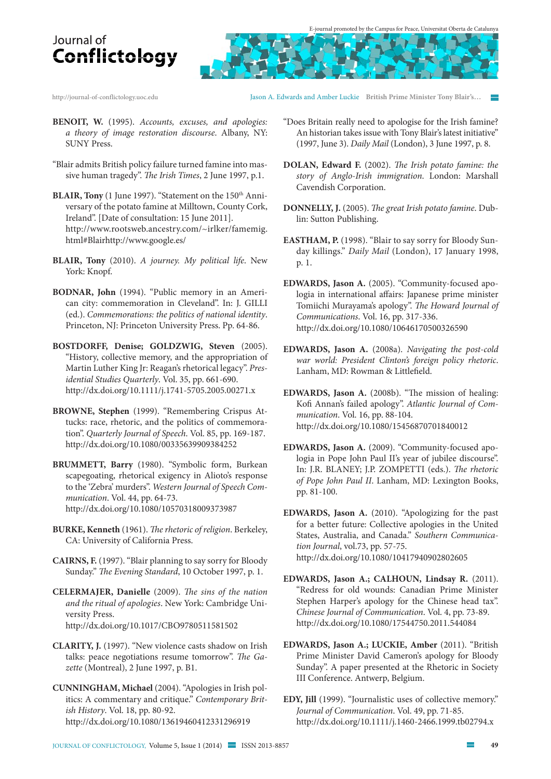<http://journal-of-conflictology.uoc.edu> Jason A. Edwards and Amber Luckie **British Prime Minister Tony Blair's…** 

- 
- **BENOIT, W.** (1995). *Accounts, excuses, and apologies: a theory of image restoration discourse*. Albany, NY: SUNY Press.
- "Blair admits British policy failure turned famine into massive human tragedy". *The Irish Times*, 2 June 1997, p.1.
- **BLAIR, Tony** (1 June 1997). "Statement on the 150<sup>th</sup> Anniversary of the potato famine at Milltown, County Cork, Ireland". [Date of consultation: 15 June 2011]. [http://www.rootsweb.ancestry.com/~irlker/famemig.](http://www.rootsweb.ancestry.com/~irlker/famemig) html#Blairhttp://[www.google.es/](http://www.google.es/)
- **BLAIR, Tony** (2010). *A journey. My political life*. New York: Knopf.
- **BODNAR, John** (1994). "Public memory in an American city: commemoration in Cleveland". In: J. GILLI (ed.). *Commemorations: the politics of national identity*. Princeton, NJ: Princeton University Press. Pp. 64-86.
- **BOSTDORFF, Denise; GOLDZWIG, Steven** (2005). "History, collective memory, and the appropriation of Martin Luther King Jr: Reagan's rhetorical legacy". *Presidential Studies Quarterly*. Vol. 35, pp. 661-690. <http://dx.doi.org/10.1111/j.1741-5705.2005.00271.x>
- **BROWNE, Stephen** (1999). "Remembering Crispus Attucks: race, rhetoric, and the politics of commemoration". *Quarterly Journal of Speech*. Vol. 85, pp. 169-187. <http://dx.doi.org/10.1080/00335639909384252>
- **BRUMMETT, Barry** (1980). "Symbolic form, Burkean scapegoating, rhetorical exigency in Alioto's response to the 'Zebra' murders". *Western Journal of Speech Communication*. Vol. 44, pp. 64-73. <http://dx.doi.org/10.1080/10570318009373987>
- **BURKE, Kenneth** (1961). *The rhetoric of religion*. Berkeley, CA: University of California Press.
- **CAIRNS, F.** (1997). "Blair planning to say sorry for Bloody Sunday." *The Evening Standard*, 10 October 1997, p. 1.
- **CELERMAJER, Danielle** (2009). *The sins of the nation and the ritual of apologies*. New York: Cambridge University Press. <http://dx.doi.org/10.1017/CBO9780511581502>
- **CLARITY, J.** (1997). "New violence casts shadow on Irish talks: peace negotiations resume tomorrow". *The Gazette* (Montreal), 2 June 1997, p. B1.
- **CUNNINGHAM, Michael** (2004). "Apologies in Irish politics: A commentary and critique." *Contemporary British History*. Vol. 18, pp. 80-92. <http://dx.doi.org/10.1080/13619460412331296919>
- "Does Britain really need to apologise for the Irish famine? An historian takes issue with Tony Blair's latest initiative" (1997, June 3). *Daily Mail* (London), 3 June 1997, p. 8.
- **DOLAN, Edward F.** (2002). *The Irish potato famine: the story of Anglo-Irish immigration*. London: Marshall Cavendish Corporation.
- **DONNELLY, J.** (2005). *The great Irish potato famine*. Dublin: Sutton Publishing.
- **EASTHAM, P.** (1998). "Blair to say sorry for Bloody Sunday killings." *Daily Mail* (London), 17 January 1998, p. 1.
- **EDWARDS, Jason A.** (2005). "Community-focused apologia in international affairs: Japanese prime minister Tomiichi Murayama's apology". *The Howard Journal of Communications*. Vol. 16, pp. 317-336. <http://dx.doi.org/10.1080/10646170500326590>
- **EDWARDS, Jason A.** (2008a). *Navigating the post-cold war world: President Clinton's foreign policy rhetoric*. Lanham, MD: Rowman & Littlefield.
- **EDWARDS, Jason A.** (2008b). "The mission of healing: Kofi Annan's failed apology". *Atlantic Journal of Communication*. Vol. 16, pp. 88-104. <http://dx.doi.org/10.1080/15456870701840012>
- **EDWARDS, Jason A.** (2009). "Community-focused apologia in Pope John Paul II's year of jubilee discourse". In: J.R. BLANEY; J.P. ZOMPETTI (eds.). *The rhetoric of Pope John Paul II*. Lanham, MD: Lexington Books, pp. 81-100.
- **EDWARDS, Jason A.** (2010). "Apologizing for the past for a better future: Collective apologies in the United States, Australia, and Canada." *Southern Communication Journal*, vol.73, pp. 57-75. <http://dx.doi.org/10.1080/10417940902802605>
- **EDWARDS, Jason A.; CALHOUN, Lindsay R.** (2011). "Redress for old wounds: Canadian Prime Minister Stephen Harper's apology for the Chinese head tax". *Chinese Journal of Communication*. Vol. 4, pp. 73-89. <http://dx.doi.org/10.1080/17544750.2011.544084>
- **EDWARDS, Jason A.; LUCKIE, Amber** (2011). "British Prime Minister David Cameron's apology for Bloody Sunday". A paper presented at the Rhetoric in Society III Conference. Antwerp, Belgium.
- **EDY, Jill** (1999). "Journalistic uses of collective memory." *Journal of Communication*. Vol. 49, pp. 71-85. <http://dx.doi.org/10.1111/j.1460-2466.1999.tb02794.x>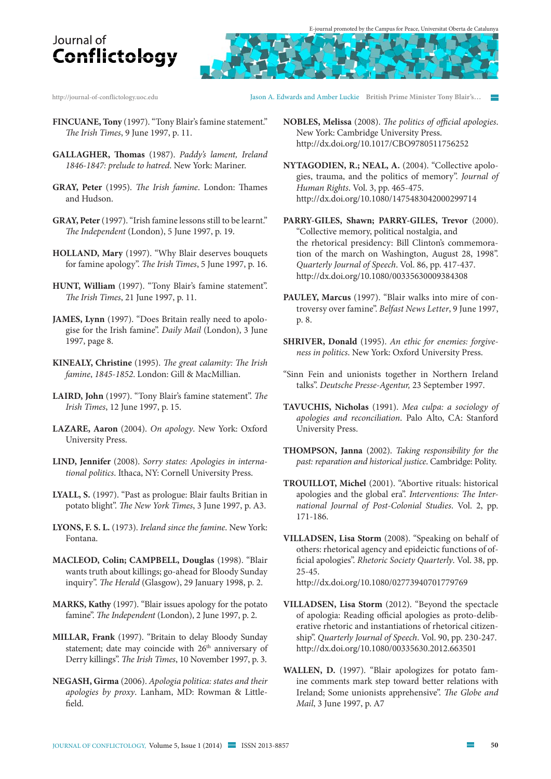

- **FINCUANE, Tony** (1997). "Tony Blair's famine statement." *The Irish Times*, 9 June 1997, p. 11.
- **GALLAGHER, Thomas** (1987). *Paddy's lament, Ireland 1846-1847: prelude to hatred*. New York: Mariner.
- **GRAY, Peter** (1995). *The Irish famine*. London: Thames and Hudson.
- **GRAY, Peter** (1997). "Irish famine lessons still to be learnt." *The Independent* (London), 5 June 1997, p. 19.
- **HOLLAND, Mary** (1997). "Why Blair deserves bouquets for famine apology". *The Irish Times*, 5 June 1997, p. 16.
- **HUNT, William** (1997). "Tony Blair's famine statement". *The Irish Times*, 21 June 1997, p. 11.
- **JAMES, Lynn** (1997). "Does Britain really need to apologise for the Irish famine". *Daily Mail* (London), 3 June 1997, page 8.
- **KINEALY, Christine** (1995). *The great calamity: The Irish famine*, *1845-1852*. London: Gill & MacMillian.
- **LAIRD, John** (1997). "Tony Blair's famine statement". *The Irish Times*, 12 June 1997, p. 15.
- **LAZARE, Aaron** (2004). *On apology*. New York: Oxford University Press.
- **LIND, Jennifer** (2008). *Sorry states: Apologies in international politics*. Ithaca, NY: Cornell University Press.
- **LYALL, S.** (1997). "Past as prologue: Blair faults Britian in potato blight". *The New York Times*, 3 June 1997, p. A3.
- **LYONS, F. S. L.** (1973). *Ireland since the famine*. New York: Fontana.
- **MACLEOD, Colin; CAMPBELL, Douglas** (1998). "Blair wants truth about killings; go-ahead for Bloody Sunday inquiry". *The Herald* (Glasgow), 29 January 1998, p. 2.
- **MARKS, Kathy** (1997). "Blair issues apology for the potato famine". *The Independent* (London), 2 June 1997, p. 2.
- **MILLAR, Frank** (1997). "Britain to delay Bloody Sunday statement; date may coincide with 26<sup>th</sup> anniversary of Derry killings". *The Irish Times*, 10 November 1997, p. 3.
- **NEGASH, Girma** (2006). *Apologia politica: states and their apologies by proxy*. Lanham, MD: Rowman & Littlefield.
- <http://journal-of-conflictology.uoc.edu> Jason A. Edwards and Amber Luckie **British Prime Minister Tony Blair's…** 
	- **NOBLES, Melissa** (2008). *The politics of official apologies*. New York: Cambridge University Press. <http://dx.doi.org/10.1017/CBO9780511756252>
	- **NYTAGODIEN, R.; NEAL, A.** (2004). "Collective apologies, trauma, and the politics of memory". *Journal of Human Rights*. Vol. 3, pp. 465-475. <http://dx.doi.org/10.1080/1475483042000299714>
	- **PARRY-GILES, Shawn; PARRY-GILES, Trevor** (2000). "Collective memory, political nostalgia, and the rhetorical presidency: Bill Clinton's commemoration of the march on Washington, August 28, 1998". *Quarterly Journal of Speech*. Vol. 86, pp. 417-437. <http://dx.doi.org/10.1080/00335630009384308>
	- PAULEY, Marcus (1997). "Blair walks into mire of controversy over famine". *Belfast News Letter*, 9 June 1997, p. 8.
	- **SHRIVER, Donald** (1995). *An ethic for enemies: forgiveness in politics*. New York: Oxford University Press.
	- "Sinn Fein and unionists together in Northern Ireland talks". *Deutsche Presse-Agentur,* 23 September 1997.
	- **TAVUCHIS, Nicholas** (1991). *Mea culpa: a sociology of apologies and reconciliation*. Palo Alto, CA: Stanford University Press.
	- **THOMPSON, Janna** (2002). *Taking responsibility for the past: reparation and historical justice*. Cambridge: Polity.
	- **TROUILLOT, Michel** (2001). "Abortive rituals: historical apologies and the global era". *Interventions: The International Journal of Post-Colonial Studies*. Vol. 2, pp. 171-186.
	- **VILLADSEN, Lisa Storm** (2008). "Speaking on behalf of others: rhetorical agency and epideictic functions of official apologies". *Rhetoric Society Quarterly*. Vol. 38, pp. 25-45.

<http://dx.doi.org/10.1080/02773940701779769>

- **VILLADSEN, Lisa Storm** (2012). "Beyond the spectacle of apologia: Reading official apologies as proto-deliberative rhetoric and instantiations of rhetorical citizenship". *Quarterly Journal of Speech*. Vol. 90, pp. 230-247. <http://dx.doi.org/10.1080/00335630.2012.663501>
- **WALLEN, D.** (1997). "Blair apologizes for potato famine comments mark step toward better relations with Ireland; Some unionists apprehensive". *The Globe and Mail*, 3 June 1997, p. A7